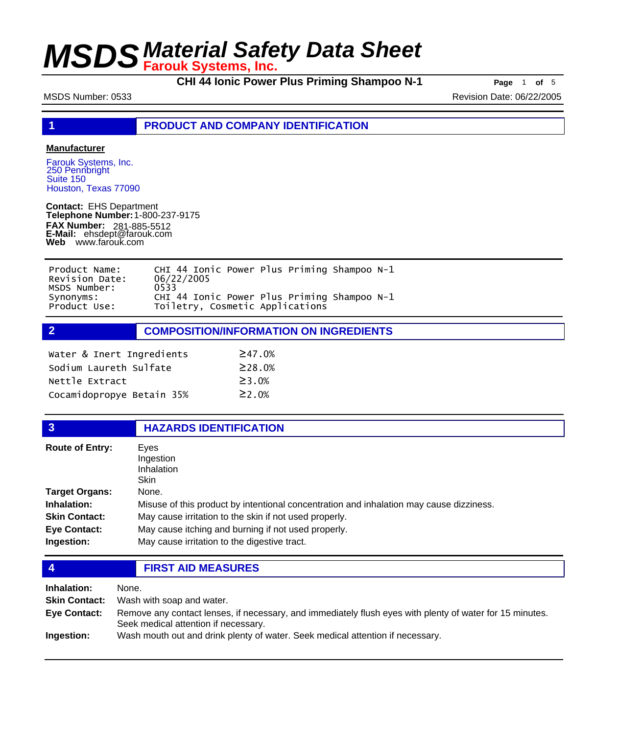**CHI 44 Ionic Power Plus Priming Shampoo N-1 Page** <sup>1</sup> **of** <sup>5</sup>

MSDS Number: 0533 Revision Date: 06/22/2005

**1 PRODUCT AND COMPANY IDENTIFICATION**

### **Manufacturer**

Farouk Systems, Inc. 250 Pennbright Suite 150 Houston, Texas 77090

**Contact:** EHS Department **Telephone Number:** 1-800-237-9175 **FAX Number: FAX Number:** 281-885-5512<br>**E-Mail:** ehsdept@farouk.com **Web** www.farouk.com

| Product Name:  | CHI 44 Ionic Power Plus Priming Shampoo N-1 |  |
|----------------|---------------------------------------------|--|
| Revision Date: | 06/22/2005                                  |  |
| MSDS Number:   | 0533                                        |  |
| Synonyms:      | CHI 44 Ionic Power Plus Priming Shampoo N-1 |  |
| Product Use:   | Toiletry, Cosmetic Applications             |  |

**2 COMPOSITION/INFORMATION ON INGREDIENTS**

| Water & Inert Ingredients | $\geq$ 47.0%  |
|---------------------------|---------------|
| Sodium Laureth Sulfate    | $\geq$ 28.0%  |
| Nettle Extract            | $\geq$ 3.0%   |
| Cocamidopropye Betain 35% | $\geq$ 2 . 0% |

## **3 HAZARDS IDENTIFICATION**

| <b>Route of Entry:</b> | Eves                                                                                    |  |
|------------------------|-----------------------------------------------------------------------------------------|--|
|                        | Ingestion                                                                               |  |
|                        | Inhalation                                                                              |  |
|                        | <b>Skin</b>                                                                             |  |
| Target Organs:         | None.                                                                                   |  |
| <b>Inhalation:</b>     | Misuse of this product by intentional concentration and inhalation may cause dizziness. |  |
| <b>Skin Contact:</b>   | May cause irritation to the skin if not used properly.                                  |  |
| <b>Eye Contact:</b>    | May cause itching and burning if not used properly.                                     |  |
| Ingestion:             | May cause irritation to the digestive tract.                                            |  |

**4 FIRST AID MEASURES**

| Inhalation:  | None.                                                                                                                                            |
|--------------|--------------------------------------------------------------------------------------------------------------------------------------------------|
|              | <b>Skin Contact:</b> Wash with soap and water.                                                                                                   |
| Eye Contact: | Remove any contact lenses, if necessary, and immediately flush eyes with plenty of water for 15 minutes.<br>Seek medical attention if necessary. |
| Ingestion:   | Wash mouth out and drink plenty of water. Seek medical attention if necessary.                                                                   |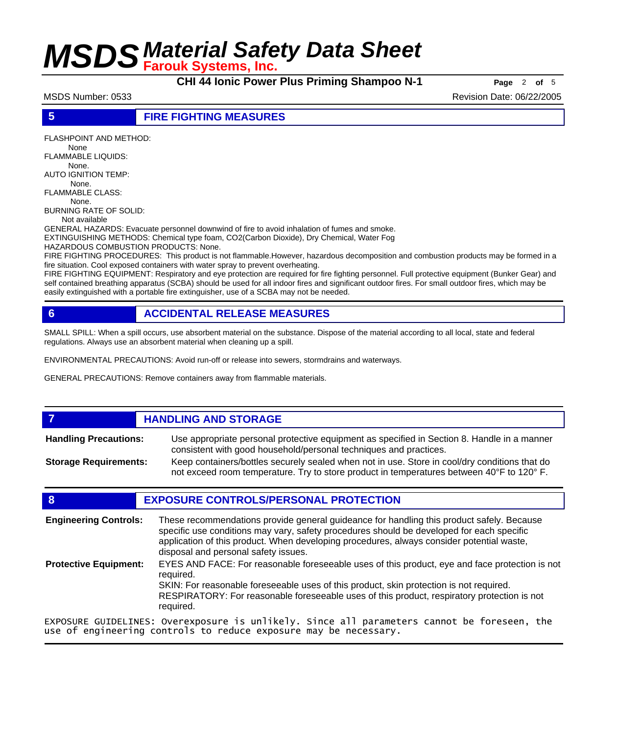**CHI 44 Ionic Power Plus Priming Shampoo N-1 Page** <sup>2</sup> **of** <sup>5</sup>

MSDS Number: 0533 **Revision Date: 06/22/2005** Revision Date: 06/22/2005

### **5 FIRE FIGHTING MEASURES**

FLASHPOINT AND METHOD: None FLAMMABLE LIQUIDS: None.

AUTO IGNITION TEMP:

 None. FLAMMABLE CLASS:

None.

BURNING RATE OF SOLID:

Not available

GENERAL HAZARDS: Evacuate personnel downwind of fire to avoid inhalation of fumes and smoke. EXTINGUISHING METHODS: Chemical type foam, CO2(Carbon Dioxide), Dry Chemical, Water Fog

HAZARDOUS COMBUSTION PRODUCTS: None.

FIRE FIGHTING PROCEDURES: This product is not flammable.However, hazardous decomposition and combustion products may be formed in a fire situation. Cool exposed containers with water spray to prevent overheating.

FIRE FIGHTING EQUIPMENT: Respiratory and eye protection are required for fire fighting personnel. Full protective equipment (Bunker Gear) and self contained breathing apparatus (SCBA) should be used for all indoor fires and significant outdoor fires. For small outdoor fires, which may be easily extinguished with a portable fire extinguisher, use of a SCBA may not be needed.

## **6 ACCIDENTAL RELEASE MEASURES**

SMALL SPILL: When a spill occurs, use absorbent material on the substance. Dispose of the material according to all local, state and federal regulations. Always use an absorbent material when cleaning up a spill.

ENVIRONMENTAL PRECAUTIONS: Avoid run-off or release into sewers, stormdrains and waterways.

GENERAL PRECAUTIONS: Remove containers away from flammable materials.

### **7 HANDLING AND STORAGE** Use appropriate personal protective equipment as specified in Section 8. Handle in a manner consistent with good household/personal techniques and practices. **Handling Precautions:** Keep containers/bottles securely sealed when not in use. Store in cool/dry conditions that do not exceed room temperature. Try to store product in temperatures between 40°F to 120° F. **Storage Requirements:**

## **8 EXPOSURE CONTROLS/PERSONAL PROTECTION**

These recommendations provide general guideance for handling this product safely. Because specific use conditions may vary, safety procedures should be developed for each specific application of this product. When developing procedures, always consider potential waste, disposal and personal safety issues. **Engineering Controls:** EYES AND FACE: For reasonable foreseeable uses of this product, eye and face protection is not required. SKIN: For reasonable foreseeable uses of this product, skin protection is not required. RESPIRATORY: For reasonable foreseeable uses of this product, respiratory protection is not required. **Protective Equipment:** EXPOSURE GUIDELINES: Overexposure is unlikely. Since all parameters cannot be foreseen, the use of engineering controls to reduce exposure may be necessary.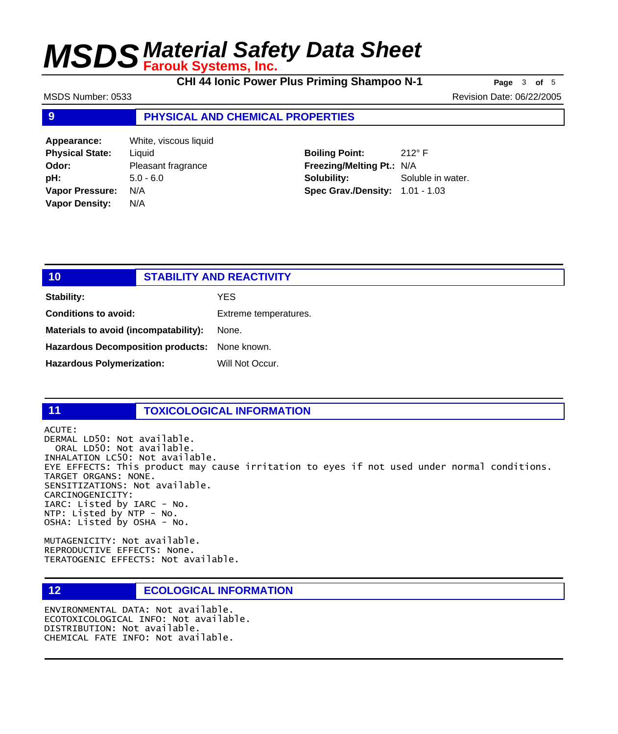**CHI 44 Ionic Power Plus Priming Shampoo N-1 Page** <sup>3</sup> **of** <sup>5</sup>

MSDS Number: 0533 **Revision Date: 06/22/2005** Revision Date: 06/22/2005

## **9 PHYSICAL AND CHEMICAL PROPERTIES**

| Appearance:            | White, viscous liquid |
|------------------------|-----------------------|
| <b>Physical State:</b> | Liquid                |
| Odor:                  | Pleasant fragrance    |
| pH:                    | $5.0 - 6.0$           |
| <b>Vapor Pressure:</b> | N/A                   |
| <b>Vapor Density:</b>  | N/A                   |

**Boiling Point:** 212° F **Freezing/Melting Pt.:** N/A **Solubility:** Soluble in water. **Spec Grav./Density:** 1.01 - 1.03

| 10                                            |  | <b>STABILITY AND REACTIVITY</b> |
|-----------------------------------------------|--|---------------------------------|
| <b>Stability:</b>                             |  | YES.                            |
| <b>Conditions to avoid:</b>                   |  | Extreme temperatures.           |
| Materials to avoid (incompatability):         |  | None.                           |
| Hazardous Decomposition products: None known. |  |                                 |
| <b>Hazardous Polymerization:</b>              |  | Will Not Occur.                 |
|                                               |  |                                 |

## **11 TOXICOLOGICAL INFORMATION**

ACUTE: DERMAL LD50: Not available. ORAL LD50: Not available. INHALATION LC50: Not available. EYE EFFECTS: This product may cause irritation to eyes if not used under normal conditions. TARGET ORGANS: NONE. SENSITIZATIONS: Not available. CARCINOGENICITY: IARC: Listed by IARC - No. NTP: Listed by NTP - No. OSHA: Listed by OSHA - No.

MUTAGENICITY: Not available. REPRODUCTIVE EFFECTS: None. TERATOGENIC EFFECTS: Not available.

### **12 ECOLOGICAL INFORMATION**

ENVIRONMENTAL DATA: Not available. ECOTOXICOLOGICAL INFO: Not available. DISTRIBUTION: Not available. CHEMICAL FATE INFO: Not available.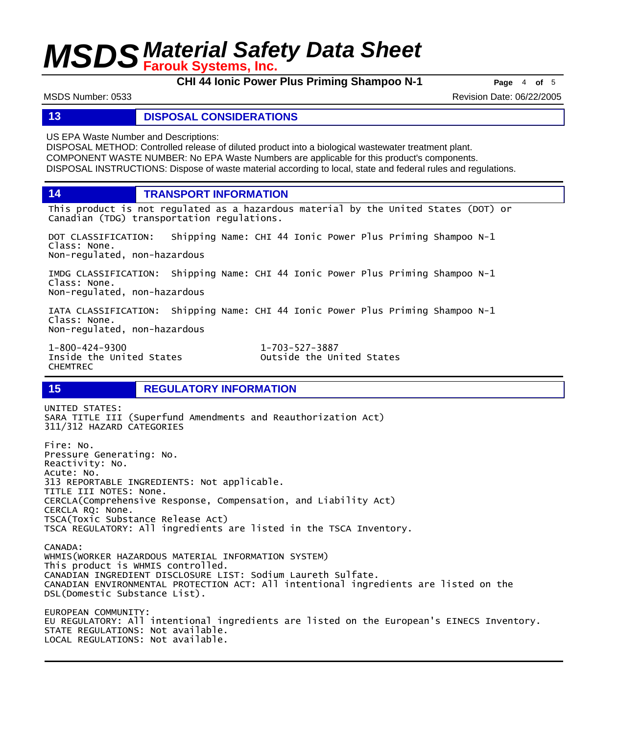**CHI 44 Ionic Power Plus Priming Shampoo N-1 Page** <sup>4</sup> **of** <sup>5</sup>

MSDS Number: 0533 **Revision Date: 06/22/2005** Revision Date: 06/22/2005

### **13 DISPOSAL CONSIDERATIONS**

US EPA Waste Number and Descriptions:

DISPOSAL METHOD: Controlled release of diluted product into a biological wastewater treatment plant. COMPONENT WASTE NUMBER: No EPA Waste Numbers are applicable for this product's components. DISPOSAL INSTRUCTIONS: Dispose of waste material according to local, state and federal rules and regulations.

**14 TRANSPORT INFORMATION**

This product is not regulated as a hazardous material by the United States (DOT) or Canadian (TDG) transportation regulations.

DOT CLASSIFICATION: Shipping Name: CHI 44 Ionic Power Plus Priming Shampoo N-1 Class: None. Non-regulated, non-hazardous

IMDG CLASSIFICATION: Shipping Name: CHI 44 Ionic Power Plus Priming Shampoo N-1 Class: None. Non-regulated, non-hazardous

IATA CLASSIFICATION: Shipping Name: CHI 44 Ionic Power Plus Priming Shampoo N-1 Class: None. Non-regulated, non-hazardous

1-800-424-9300 1-703-527-3887 CHEMTREC

Outside the United States

## **15 REGULATORY INFORMATION**

UNITED STATES: SARA TITLE III (Superfund Amendments and Reauthorization Act) 311/312 HAZARD CATEGORIES Fire: No. Pressure Generating: No. Reactivity: No. Acute: No. 313 REPORTABLE INGREDIENTS: Not applicable. TITLE III NOTES: None. CERCLA(Comprehensive Response, Compensation, and Liability Act) CERCLA RQ: None. TSCA(Toxic Substance Release Act) TSCA REGULATORY: All ingredients are listed in the TSCA Inventory. CANADA:

WHMIS(WORKER HAZARDOUS MATERIAL INFORMATION SYSTEM) This product is WHMIS controlled. CANADIAN INGREDIENT DISCLOSURE LIST: Sodium Laureth Sulfate. CANADIAN ENVIRONMENTAL PROTECTION ACT: All intentional ingredients are listed on the DSL(Domestic Substance List).

EUROPEAN COMMUNITY: EU REGULATORY: All intentional ingredients are listed on the European's EINECS Inventory. STATE REGULATIONS: Not available. LOCAL REGULATIONS: Not available.